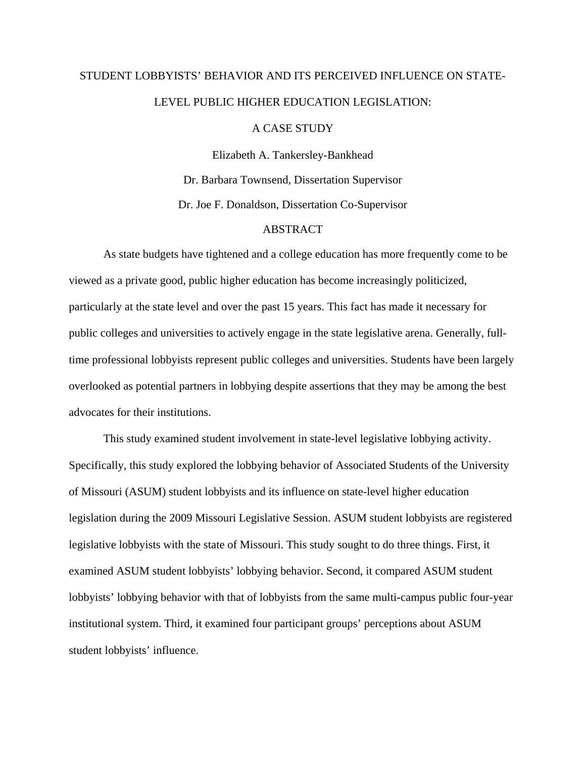## STUDENT LOBBYISTS' BEHAVIOR AND ITS PERCEIVED INFLUENCE ON STATE-LEVEL PUBLIC HIGHER EDUCATION LEGISLATION:

## A CASE STUDY

Elizabeth A. Tankersley-Bankhead Dr. Barbara Townsend, Dissertation Supervisor Dr. Joe F. Donaldson, Dissertation Co-Supervisor

## ABSTRACT

As state budgets have tightened and a college education has more frequently come to be viewed as a private good, public higher education has become increasingly politicized, particularly at the state level and over the past 15 years. This fact has made it necessary for public colleges and universities to actively engage in the state legislative arena. Generally, fulltime professional lobbyists represent public colleges and universities. Students have been largely overlooked as potential partners in lobbying despite assertions that they may be among the best advocates for their institutions.

This study examined student involvement in state-level legislative lobbying activity. Specifically, this study explored the lobbying behavior of Associated Students of the University of Missouri (ASUM) student lobbyists and its influence on state-level higher education legislation during the 2009 Missouri Legislative Session. ASUM student lobbyists are registered legislative lobbyists with the state of Missouri. This study sought to do three things. First, it examined ASUM student lobbyists' lobbying behavior. Second, it compared ASUM student lobbyists' lobbying behavior with that of lobbyists from the same multi-campus public four-year institutional system. Third, it examined four participant groups' perceptions about ASUM student lobbyists' influence.